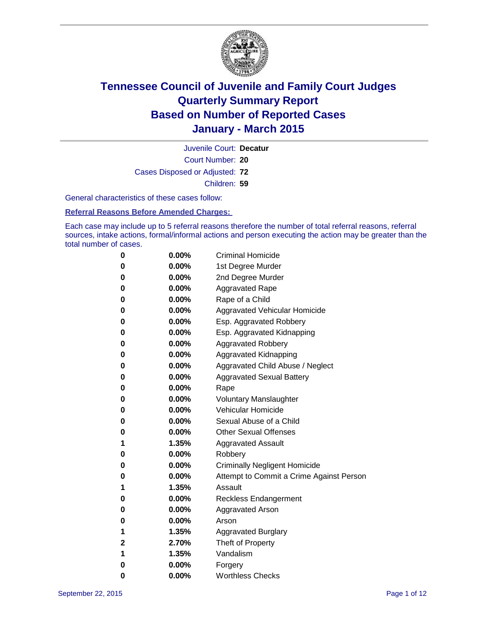

Court Number: **20** Juvenile Court: **Decatur** Cases Disposed or Adjusted: **72** Children: **59**

General characteristics of these cases follow:

**Referral Reasons Before Amended Charges:** 

Each case may include up to 5 referral reasons therefore the number of total referral reasons, referral sources, intake actions, formal/informal actions and person executing the action may be greater than the total number of cases.

| 0           | $0.00\%$ | <b>Criminal Homicide</b>                 |
|-------------|----------|------------------------------------------|
| 0           | $0.00\%$ | 1st Degree Murder                        |
| 0           | $0.00\%$ | 2nd Degree Murder                        |
| 0           | $0.00\%$ | <b>Aggravated Rape</b>                   |
| 0           | $0.00\%$ | Rape of a Child                          |
| 0           | $0.00\%$ | Aggravated Vehicular Homicide            |
| 0           | $0.00\%$ | Esp. Aggravated Robbery                  |
| 0           | $0.00\%$ | Esp. Aggravated Kidnapping               |
| 0           | $0.00\%$ | <b>Aggravated Robbery</b>                |
| $\bf{0}$    | $0.00\%$ | Aggravated Kidnapping                    |
| 0           | 0.00%    | Aggravated Child Abuse / Neglect         |
| 0           | $0.00\%$ | <b>Aggravated Sexual Battery</b>         |
| 0           | $0.00\%$ | Rape                                     |
| 0           | $0.00\%$ | <b>Voluntary Manslaughter</b>            |
| 0           | $0.00\%$ | <b>Vehicular Homicide</b>                |
| 0           | $0.00\%$ | Sexual Abuse of a Child                  |
| 0           | $0.00\%$ | <b>Other Sexual Offenses</b>             |
| 1           | $1.35\%$ | <b>Aggravated Assault</b>                |
| 0           | $0.00\%$ | Robbery                                  |
| $\bf{0}$    | $0.00\%$ | <b>Criminally Negligent Homicide</b>     |
| 0           | $0.00\%$ | Attempt to Commit a Crime Against Person |
| 1           | 1.35%    | Assault                                  |
| 0           | $0.00\%$ | <b>Reckless Endangerment</b>             |
| 0           | $0.00\%$ | Aggravated Arson                         |
| 0           | $0.00\%$ | Arson                                    |
| 1           | 1.35%    | <b>Aggravated Burglary</b>               |
| $\mathbf 2$ | 2.70%    | Theft of Property                        |
| 1           | 1.35%    | Vandalism                                |
| 0           | $0.00\%$ | Forgery                                  |
| 0           | 0.00%    | <b>Worthless Checks</b>                  |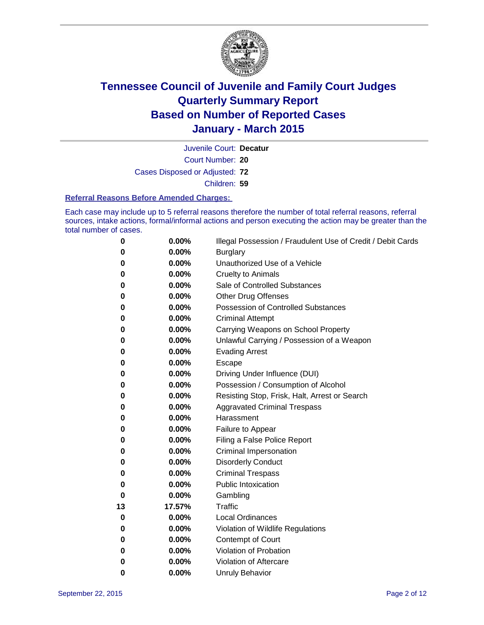

Court Number: **20** Juvenile Court: **Decatur** Cases Disposed or Adjusted: **72** Children: **59**

#### **Referral Reasons Before Amended Charges:**

Each case may include up to 5 referral reasons therefore the number of total referral reasons, referral sources, intake actions, formal/informal actions and person executing the action may be greater than the total number of cases.

| 0  | 0.00%  | Illegal Possession / Fraudulent Use of Credit / Debit Cards |
|----|--------|-------------------------------------------------------------|
| 0  | 0.00%  | <b>Burglary</b>                                             |
| 0  | 0.00%  | Unauthorized Use of a Vehicle                               |
| 0  | 0.00%  | <b>Cruelty to Animals</b>                                   |
| 0  | 0.00%  | Sale of Controlled Substances                               |
| 0  | 0.00%  | <b>Other Drug Offenses</b>                                  |
| 0  | 0.00%  | <b>Possession of Controlled Substances</b>                  |
| 0  | 0.00%  | <b>Criminal Attempt</b>                                     |
| 0  | 0.00%  | Carrying Weapons on School Property                         |
| 0  | 0.00%  | Unlawful Carrying / Possession of a Weapon                  |
| 0  | 0.00%  | <b>Evading Arrest</b>                                       |
| 0  | 0.00%  | Escape                                                      |
| 0  | 0.00%  | Driving Under Influence (DUI)                               |
| 0  | 0.00%  | Possession / Consumption of Alcohol                         |
| 0  | 0.00%  | Resisting Stop, Frisk, Halt, Arrest or Search               |
| 0  | 0.00%  | <b>Aggravated Criminal Trespass</b>                         |
| 0  | 0.00%  | Harassment                                                  |
| 0  | 0.00%  | Failure to Appear                                           |
| 0  | 0.00%  | Filing a False Police Report                                |
| 0  | 0.00%  | <b>Criminal Impersonation</b>                               |
| 0  | 0.00%  | <b>Disorderly Conduct</b>                                   |
| 0  | 0.00%  | <b>Criminal Trespass</b>                                    |
| 0  | 0.00%  | <b>Public Intoxication</b>                                  |
| 0  | 0.00%  | Gambling                                                    |
| 13 | 17.57% | <b>Traffic</b>                                              |
| 0  | 0.00%  | <b>Local Ordinances</b>                                     |
| 0  | 0.00%  | Violation of Wildlife Regulations                           |
| 0  | 0.00%  | Contempt of Court                                           |
| 0  | 0.00%  | Violation of Probation                                      |
| 0  | 0.00%  | Violation of Aftercare                                      |
| 0  | 0.00%  | <b>Unruly Behavior</b>                                      |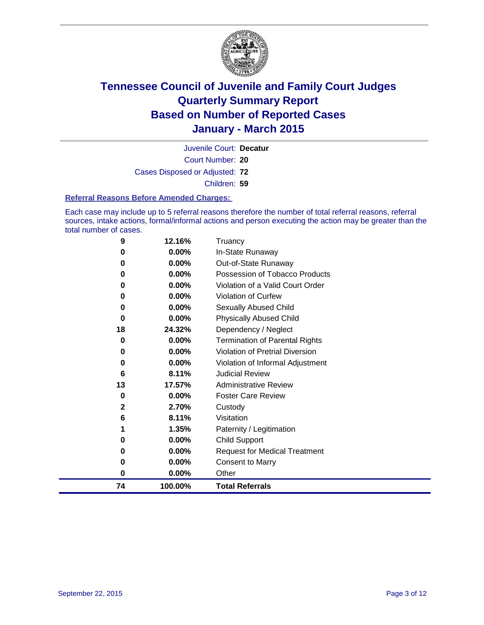

Court Number: **20** Juvenile Court: **Decatur** Cases Disposed or Adjusted: **72** Children: **59**

#### **Referral Reasons Before Amended Charges:**

Each case may include up to 5 referral reasons therefore the number of total referral reasons, referral sources, intake actions, formal/informal actions and person executing the action may be greater than the total number of cases.

| 9            | 12.16%   | Truancy                               |
|--------------|----------|---------------------------------------|
| 0            | 0.00%    | In-State Runaway                      |
| 0            | 0.00%    | Out-of-State Runaway                  |
| 0            | 0.00%    | Possession of Tobacco Products        |
| 0            | 0.00%    | Violation of a Valid Court Order      |
| 0            | 0.00%    | <b>Violation of Curfew</b>            |
| 0            | $0.00\%$ | Sexually Abused Child                 |
| 0            | 0.00%    | <b>Physically Abused Child</b>        |
| 18           | 24.32%   | Dependency / Neglect                  |
| 0            | 0.00%    | <b>Termination of Parental Rights</b> |
| 0            | 0.00%    | Violation of Pretrial Diversion       |
| 0            | 0.00%    | Violation of Informal Adjustment      |
| 6            | 8.11%    | <b>Judicial Review</b>                |
| 13           | 17.57%   | <b>Administrative Review</b>          |
| 0            | 0.00%    | <b>Foster Care Review</b>             |
| $\mathbf{2}$ | 2.70%    | Custody                               |
| 6            | 8.11%    | Visitation                            |
| 1            | 1.35%    | Paternity / Legitimation              |
| 0            | 0.00%    | <b>Child Support</b>                  |
| 0            | 0.00%    | <b>Request for Medical Treatment</b>  |
| 0            | 0.00%    | <b>Consent to Marry</b>               |
| 0            | 0.00%    | Other                                 |
| 74           | 100.00%  | <b>Total Referrals</b>                |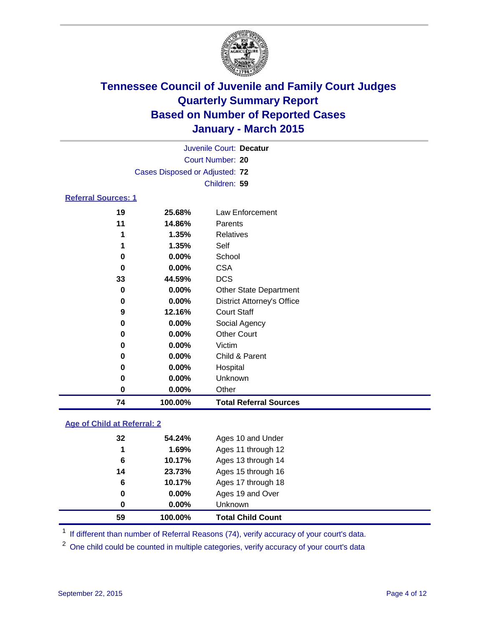

|                            |                                | Juvenile Court: Decatur       |  |
|----------------------------|--------------------------------|-------------------------------|--|
|                            |                                | Court Number: 20              |  |
|                            | Cases Disposed or Adjusted: 72 |                               |  |
|                            |                                | Children: 59                  |  |
| <b>Referral Sources: 1</b> |                                |                               |  |
| 19                         | 25.68%                         | Law Enforcement               |  |
| 11                         | 14.86%                         | Parents                       |  |
| 1                          | 1.35%                          | Relatives                     |  |
| 1                          | 1.35%                          | Self                          |  |
| 0                          | $0.00\%$                       | School                        |  |
| 0                          | $0.00\%$                       | <b>CSA</b>                    |  |
| 33                         | 44.59%                         | <b>DCS</b>                    |  |
| 0                          | $0.00\%$                       | <b>Other State Department</b> |  |

### **0.00%** Other Court **0.00%** Victim **0.00%** Child & Parent **0.00%** Hospital **0.00%** Unknown **0.00%** Other **100.00% Total Referral Sources**

**0.00%** District Attorney's Office

 **12.16%** Court Staff **0.00%** Social Agency

### **Age of Child at Referral: 2**

| 59 | 100.00%  | <b>Total Child Count</b> |  |
|----|----------|--------------------------|--|
| 0  | $0.00\%$ | Unknown                  |  |
| 0  | $0.00\%$ | Ages 19 and Over         |  |
| 6  | 10.17%   | Ages 17 through 18       |  |
| 14 | 23.73%   | Ages 15 through 16       |  |
| 6  | 10.17%   | Ages 13 through 14       |  |
| 1  | 1.69%    | Ages 11 through 12       |  |
| 32 | 54.24%   | Ages 10 and Under        |  |
|    |          |                          |  |

<sup>1</sup> If different than number of Referral Reasons (74), verify accuracy of your court's data.

One child could be counted in multiple categories, verify accuracy of your court's data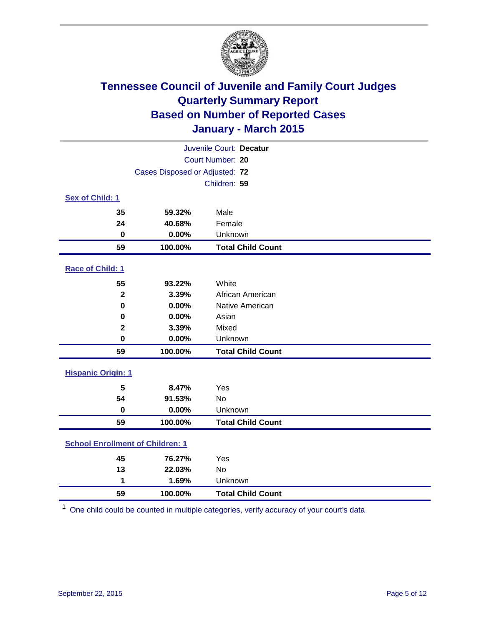

|                                         |                                | Juvenile Court: Decatur  |
|-----------------------------------------|--------------------------------|--------------------------|
|                                         |                                | Court Number: 20         |
|                                         | Cases Disposed or Adjusted: 72 |                          |
|                                         |                                | Children: 59             |
| <b>Sex of Child: 1</b>                  |                                |                          |
| 35                                      | 59.32%                         | Male                     |
| 24                                      | 40.68%                         | Female                   |
| $\bf{0}$                                | 0.00%                          | Unknown                  |
| 59                                      | 100.00%                        | <b>Total Child Count</b> |
| Race of Child: 1                        |                                |                          |
| 55                                      | 93.22%                         | White                    |
| $\overline{\mathbf{2}}$                 | 3.39%                          | African American         |
| $\mathbf 0$                             | 0.00%                          | Native American          |
| 0                                       | 0.00%                          | Asian                    |
| $\mathbf 2$                             | 3.39%                          | Mixed                    |
| $\mathbf 0$                             | 0.00%                          | Unknown                  |
| 59                                      | 100.00%                        | <b>Total Child Count</b> |
| <b>Hispanic Origin: 1</b>               |                                |                          |
| 5                                       | 8.47%                          | Yes                      |
| 54                                      | 91.53%                         | No                       |
| $\bf{0}$                                | 0.00%                          | Unknown                  |
| 59                                      | 100.00%                        | <b>Total Child Count</b> |
| <b>School Enrollment of Children: 1</b> |                                |                          |
| 45                                      | 76.27%                         | Yes                      |
| 13                                      | 22.03%                         | No                       |
| 1                                       | 1.69%                          | Unknown                  |
| 59                                      | 100.00%                        | <b>Total Child Count</b> |

One child could be counted in multiple categories, verify accuracy of your court's data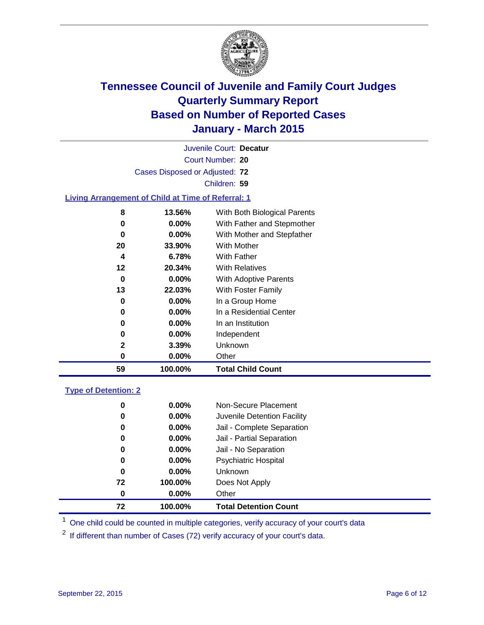

|                                                           |                                | Juvenile Court: Decatur      |  |
|-----------------------------------------------------------|--------------------------------|------------------------------|--|
|                                                           |                                | Court Number: 20             |  |
|                                                           | Cases Disposed or Adjusted: 72 |                              |  |
|                                                           |                                | Children: 59                 |  |
| <b>Living Arrangement of Child at Time of Referral: 1</b> |                                |                              |  |
| 8                                                         | 13.56%                         | With Both Biological Parents |  |
| 0                                                         | $0.00\%$                       | With Father and Stepmother   |  |
| 0                                                         | 0.00%                          | With Mother and Stepfather   |  |
| 20                                                        | 33.90%                         | With Mother                  |  |
| 4                                                         | 6.78%                          | <b>With Father</b>           |  |
| 12                                                        | 20.34%                         | <b>With Relatives</b>        |  |
| 0                                                         | $0.00\%$                       | With Adoptive Parents        |  |
| 13                                                        | 22.03%                         | With Foster Family           |  |
| 0                                                         | 0.00%                          | In a Group Home              |  |
| 0                                                         | 0.00%                          | In a Residential Center      |  |
| 0                                                         | 0.00%                          | In an Institution            |  |
| 0                                                         | $0.00\%$                       |                              |  |
|                                                           |                                | Independent                  |  |
| 2                                                         | 3.39%                          | Unknown                      |  |
| 0                                                         | 0.00%                          | Other                        |  |
| 59                                                        | 100.00%                        | <b>Total Child Count</b>     |  |
|                                                           |                                |                              |  |

### **Type of Detention: 2**

| 0  | $0.00\%$ | Non-Secure Placement         |
|----|----------|------------------------------|
| 0  | $0.00\%$ | Juvenile Detention Facility  |
| 0  | $0.00\%$ | Jail - Complete Separation   |
| 0  | $0.00\%$ | Jail - Partial Separation    |
| 0  | $0.00\%$ | Jail - No Separation         |
| 0  | $0.00\%$ | <b>Psychiatric Hospital</b>  |
| 0  | 0.00%    | Unknown                      |
| 72 | 100.00%  | Does Not Apply               |
| 0  | 0.00%    | Other                        |
| 72 | 100.00%  | <b>Total Detention Count</b> |

<sup>1</sup> One child could be counted in multiple categories, verify accuracy of your court's data

If different than number of Cases (72) verify accuracy of your court's data.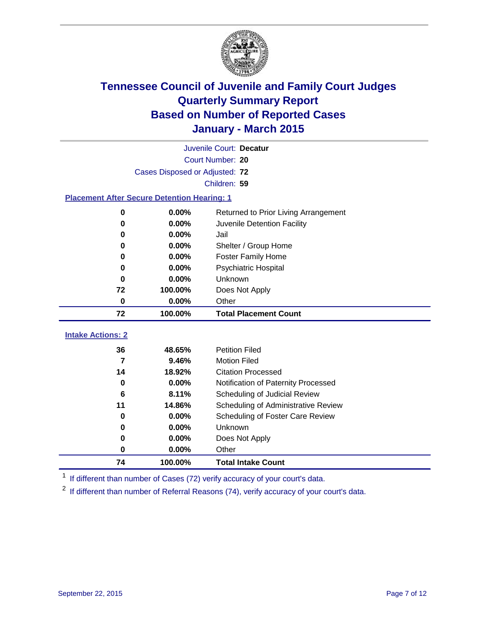

|                                                    |                                | Juvenile Court: Decatur              |
|----------------------------------------------------|--------------------------------|--------------------------------------|
|                                                    |                                | Court Number: 20                     |
|                                                    | Cases Disposed or Adjusted: 72 |                                      |
|                                                    |                                | Children: 59                         |
| <b>Placement After Secure Detention Hearing: 1</b> |                                |                                      |
| 0                                                  | 0.00%                          | Returned to Prior Living Arrangement |
| 0                                                  | 0.00%                          | Juvenile Detention Facility          |
| 0                                                  | 0.00%                          | Jail                                 |
| $\bf{0}$                                           | 0.00%                          | Shelter / Group Home                 |
| 0                                                  | 0.00%                          | <b>Foster Family Home</b>            |
| $\bf{0}$                                           | 0.00%                          | <b>Psychiatric Hospital</b>          |
| $\bf{0}$                                           | 0.00%                          | Unknown                              |
| 72                                                 | 100.00%                        | Does Not Apply                       |
| 0                                                  | 0.00%                          | Other                                |
| 72                                                 | 100.00%                        | <b>Total Placement Count</b>         |
| <b>Intake Actions: 2</b>                           |                                |                                      |
| 36                                                 | 48.65%                         | <b>Petition Filed</b>                |
| $\overline{\mathbf{z}}$                            | 9.46%                          | <b>Motion Filed</b>                  |
| 14                                                 | 18.92%                         | <b>Citation Processed</b>            |
| 0                                                  | 0.00%                          | Notification of Paternity Processed  |
| 6                                                  | 8.11%                          | Scheduling of Judicial Review        |
| 11                                                 | 14.86%                         | Scheduling of Administrative Review  |
| 0                                                  | 0.00%                          | Scheduling of Foster Care Review     |
| $\bf{0}$                                           | 0.00%                          | Unknown                              |
| 0                                                  | 0.00%                          | Does Not Apply                       |
| $\bf{0}$                                           | 0.00%                          | Other                                |
| 74                                                 | 100.00%                        | <b>Total Intake Count</b>            |

<sup>1</sup> If different than number of Cases (72) verify accuracy of your court's data.

<sup>2</sup> If different than number of Referral Reasons (74), verify accuracy of your court's data.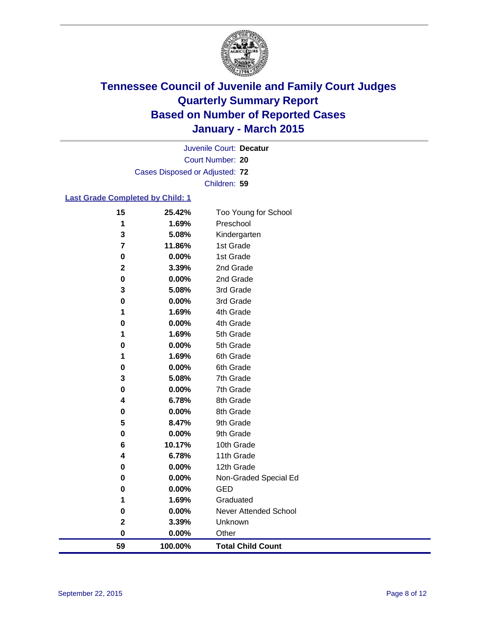

Court Number: **20** Juvenile Court: **Decatur** Cases Disposed or Adjusted: **72** Children: **59**

#### **Last Grade Completed by Child: 1**

| 59                      | 100.00%           | <b>Total Child Count</b>     |
|-------------------------|-------------------|------------------------------|
| 0                       | $0.00\%$          | Other                        |
| $\mathbf 2$             | 3.39%             | Unknown                      |
| 0                       | 0.00%             | <b>Never Attended School</b> |
| 1                       | 1.69%             | Graduated                    |
| 0                       | 0.00%             | <b>GED</b>                   |
| 0                       | 0.00%             | Non-Graded Special Ed        |
| 0                       | 0.00%             | 12th Grade                   |
| 4                       | 6.78%             | 11th Grade                   |
| 6                       | 10.17%            | 10th Grade                   |
| 0                       | 0.00%             | 9th Grade                    |
| 5                       | 8.47%             | 9th Grade                    |
| 0                       | 0.00%             | 8th Grade                    |
| 4                       | 6.78%             | 8th Grade                    |
| 0                       | 0.00%             | 7th Grade                    |
| 3                       | 5.08%             | 7th Grade                    |
| 0                       | 0.00%             | 6th Grade                    |
| 0<br>1                  | $0.00\%$<br>1.69% | 5th Grade<br>6th Grade       |
| 1                       | 1.69%             | 5th Grade                    |
| 0                       | $0.00\%$          | 4th Grade                    |
| 1                       | 1.69%             | 4th Grade                    |
| 0                       | 0.00%             | 3rd Grade                    |
| 3                       | 5.08%             | 3rd Grade                    |
| 0                       | 0.00%             | 2nd Grade                    |
| $\mathbf 2$             | 3.39%             | 2nd Grade                    |
| 0                       | 0.00%             | 1st Grade                    |
| $\overline{\mathbf{r}}$ | 11.86%            | 1st Grade                    |
| 3                       | 5.08%             | Kindergarten                 |
| 1                       | 1.69%             | Preschool                    |
| 15                      | 25.42%            | Too Young for School         |
|                         |                   |                              |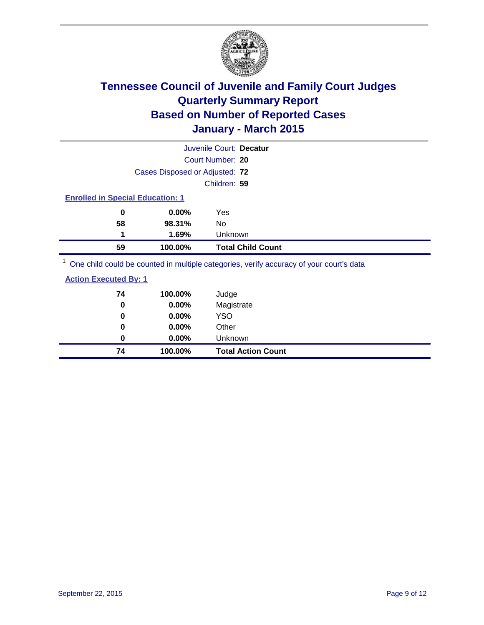

|                                         |                                | Juvenile Court: Decatur                                                                                                                                                                                                         |
|-----------------------------------------|--------------------------------|---------------------------------------------------------------------------------------------------------------------------------------------------------------------------------------------------------------------------------|
|                                         |                                | Court Number: 20                                                                                                                                                                                                                |
|                                         | Cases Disposed or Adjusted: 72 |                                                                                                                                                                                                                                 |
|                                         |                                | Children: 59                                                                                                                                                                                                                    |
| <b>Enrolled in Special Education: 1</b> |                                |                                                                                                                                                                                                                                 |
| 0                                       | 0.00%                          | Yes                                                                                                                                                                                                                             |
| 58                                      | 98.31%                         | No                                                                                                                                                                                                                              |
| 1                                       | 1.69%                          | <b>Unknown</b>                                                                                                                                                                                                                  |
| 59                                      | 100.00%                        | <b>Total Child Count</b>                                                                                                                                                                                                        |
|                                         |                                | $1\sim$ 1.000 and 1.000 and 1.000 and 1.000 and 1.000 and 1.000 and 1.000 and 1.000 and 1.000 and 1.000 and 1.000 and 1.000 and 1.000 and 1.000 and 1.000 and 1.000 and 1.000 and 1.000 and 1.000 and 1.000 and 1.000 and 1.000 |

One child could be counted in multiple categories, verify accuracy of your court's data

| <b>Action Executed By: 1</b> |  |
|------------------------------|--|
|                              |  |

| 74<br>0 | 100.00%<br>0.00% | Judge<br>Magistrate       |
|---------|------------------|---------------------------|
| 0       | 0.00%            | <b>YSO</b>                |
| 0       | 0.00%            | Other                     |
| 0       | 0.00%            | Unknown                   |
| 74      | 100.00%          | <b>Total Action Count</b> |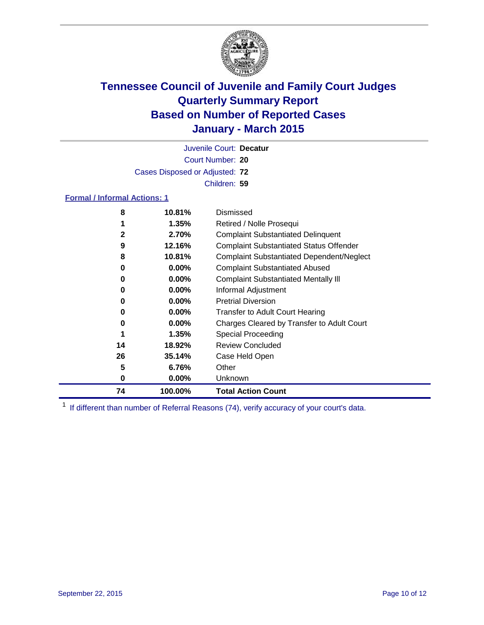

Court Number: **20** Juvenile Court: **Decatur** Cases Disposed or Adjusted: **72** Children: **59**

#### **Formal / Informal Actions: 1**

| 8            | 10.81%   | Dismissed                                        |
|--------------|----------|--------------------------------------------------|
|              | $1.35\%$ | Retired / Nolle Prosequi                         |
| $\mathbf{2}$ | 2.70%    | <b>Complaint Substantiated Delinquent</b>        |
| 9            | 12.16%   | <b>Complaint Substantiated Status Offender</b>   |
| 8            | 10.81%   | <b>Complaint Substantiated Dependent/Neglect</b> |
| 0            | $0.00\%$ | <b>Complaint Substantiated Abused</b>            |
| 0            | $0.00\%$ | <b>Complaint Substantiated Mentally III</b>      |
| 0            | $0.00\%$ | Informal Adjustment                              |
| 0            | $0.00\%$ | <b>Pretrial Diversion</b>                        |
| 0            | $0.00\%$ | <b>Transfer to Adult Court Hearing</b>           |
| 0            | $0.00\%$ | Charges Cleared by Transfer to Adult Court       |
|              | 1.35%    | Special Proceeding                               |
| 14           | 18.92%   | <b>Review Concluded</b>                          |
| 26           | 35.14%   | Case Held Open                                   |
| 5            | 6.76%    | Other                                            |
| 0            | $0.00\%$ | Unknown                                          |
| 74           | 100.00%  | <b>Total Action Count</b>                        |

<sup>1</sup> If different than number of Referral Reasons (74), verify accuracy of your court's data.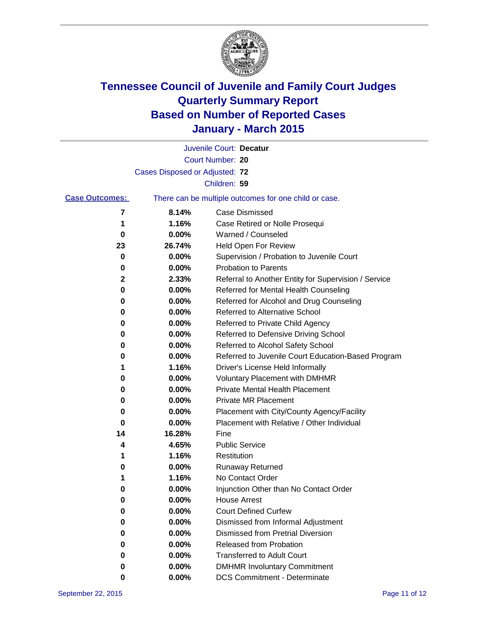

|                       |                                | Juvenile Court: Decatur                               |
|-----------------------|--------------------------------|-------------------------------------------------------|
|                       |                                | Court Number: 20                                      |
|                       | Cases Disposed or Adjusted: 72 |                                                       |
|                       |                                | Children: 59                                          |
| <b>Case Outcomes:</b> |                                | There can be multiple outcomes for one child or case. |
| 7                     | 8.14%                          | Case Dismissed                                        |
| 1                     | 1.16%                          | Case Retired or Nolle Prosequi                        |
| 0                     | 0.00%                          | Warned / Counseled                                    |
| 23                    | 26.74%                         | Held Open For Review                                  |
| 0                     | 0.00%                          | Supervision / Probation to Juvenile Court             |
| 0                     | 0.00%                          | <b>Probation to Parents</b>                           |
| 2                     | 2.33%                          | Referral to Another Entity for Supervision / Service  |
| 0                     | 0.00%                          | Referred for Mental Health Counseling                 |
| 0                     | 0.00%                          | Referred for Alcohol and Drug Counseling              |
| 0                     | 0.00%                          | Referred to Alternative School                        |
| 0                     | 0.00%                          | Referred to Private Child Agency                      |
| 0                     | 0.00%                          | Referred to Defensive Driving School                  |
| 0                     | 0.00%                          | Referred to Alcohol Safety School                     |
| 0                     | 0.00%                          | Referred to Juvenile Court Education-Based Program    |
| 1                     | 1.16%                          | Driver's License Held Informally                      |
| 0                     | 0.00%                          | <b>Voluntary Placement with DMHMR</b>                 |
| 0                     | 0.00%                          | <b>Private Mental Health Placement</b>                |
| 0                     | 0.00%                          | Private MR Placement                                  |
| 0                     | 0.00%                          | Placement with City/County Agency/Facility            |
| 0                     | 0.00%                          | Placement with Relative / Other Individual            |
| 14                    | 16.28%                         | Fine                                                  |
| 4                     | 4.65%                          | <b>Public Service</b>                                 |
| 1                     | 1.16%                          | Restitution                                           |
| 0                     | 0.00%                          | <b>Runaway Returned</b>                               |
| 1                     | 1.16%                          | No Contact Order                                      |
| 0                     | 0.00%                          | Injunction Other than No Contact Order                |
| 0                     | $0.00\%$                       | <b>House Arrest</b>                                   |
| 0                     | 0.00%                          | <b>Court Defined Curfew</b>                           |
| 0                     | 0.00%                          | Dismissed from Informal Adjustment                    |
| 0                     | 0.00%                          | <b>Dismissed from Pretrial Diversion</b>              |
| 0                     | 0.00%                          | Released from Probation                               |
| 0                     | 0.00%                          | <b>Transferred to Adult Court</b>                     |
| 0                     | 0.00%                          | <b>DMHMR Involuntary Commitment</b>                   |
| 0                     | 0.00%                          | <b>DCS Commitment - Determinate</b>                   |